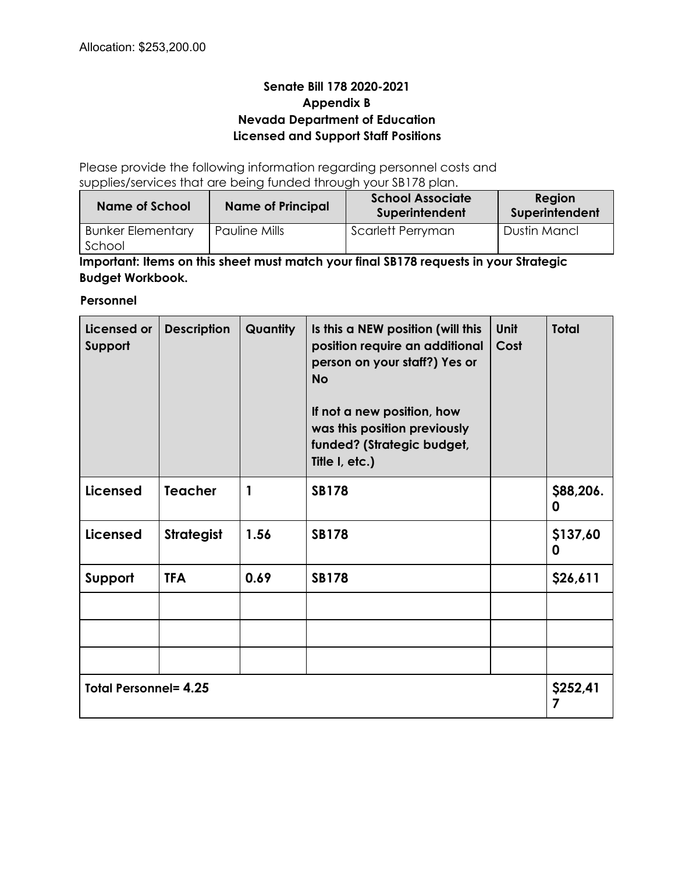# **Senate Bill 178 2020-2021 Appendix B Nevada Department of Education Licensed and Support Staff Positions**

Please provide the following information regarding personnel costs and supplies/services that are being funded through your SB178 plan.

| Name of School                     | <b>Name of Principal</b> | <b>School Associate</b><br>Superintendent | Region<br>Superintendent |
|------------------------------------|--------------------------|-------------------------------------------|--------------------------|
| <b>Bunker Elementary</b><br>School | Pauline Mills            | Scarlett Perryman                         | Dustin Mancl             |

**Important: Items on this sheet must match your final SB178 requests in your Strategic Budget Workbook.**

### **Personnel**

| Licensed or<br>Support       | <b>Description</b> | <b>Quantity</b> | Is this a NEW position (will this<br><b>Unit</b><br>position require an additional<br>Cost<br>person on your staff?) Yes or<br><b>No</b><br>If not a new position, how<br>was this position previously<br>funded? (Strategic budget,<br>Title I, etc.) |               | <b>Total</b>   |
|------------------------------|--------------------|-----------------|--------------------------------------------------------------------------------------------------------------------------------------------------------------------------------------------------------------------------------------------------------|---------------|----------------|
| <b>Licensed</b>              | <b>Teacher</b>     | 1               | <b>SB178</b>                                                                                                                                                                                                                                           |               | \$88,206.<br>0 |
| <b>Licensed</b>              | <b>Strategist</b>  | 1.56            | <b>SB178</b>                                                                                                                                                                                                                                           |               | \$137,60<br>0  |
| Support                      | <b>TFA</b>         | 0.69            | <b>SB178</b>                                                                                                                                                                                                                                           |               | \$26,611       |
|                              |                    |                 |                                                                                                                                                                                                                                                        |               |                |
|                              |                    |                 |                                                                                                                                                                                                                                                        |               |                |
|                              |                    |                 |                                                                                                                                                                                                                                                        |               |                |
| <b>Total Personnel= 4.25</b> |                    |                 |                                                                                                                                                                                                                                                        | \$252,41<br>7 |                |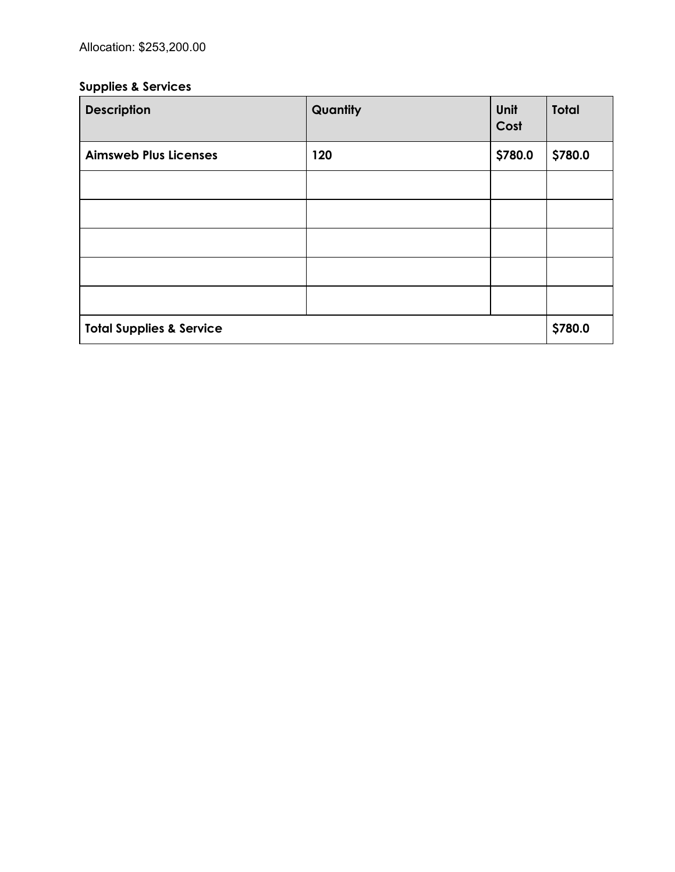# **Supplies & Services**

| <b>Description</b>                  | Quantity | Unit<br>Cost | <b>Total</b> |
|-------------------------------------|----------|--------------|--------------|
| <b>Aimsweb Plus Licenses</b>        | 120      | \$780.0      | \$780.0      |
|                                     |          |              |              |
|                                     |          |              |              |
|                                     |          |              |              |
|                                     |          |              |              |
|                                     |          |              |              |
| <b>Total Supplies &amp; Service</b> |          |              | \$780.0      |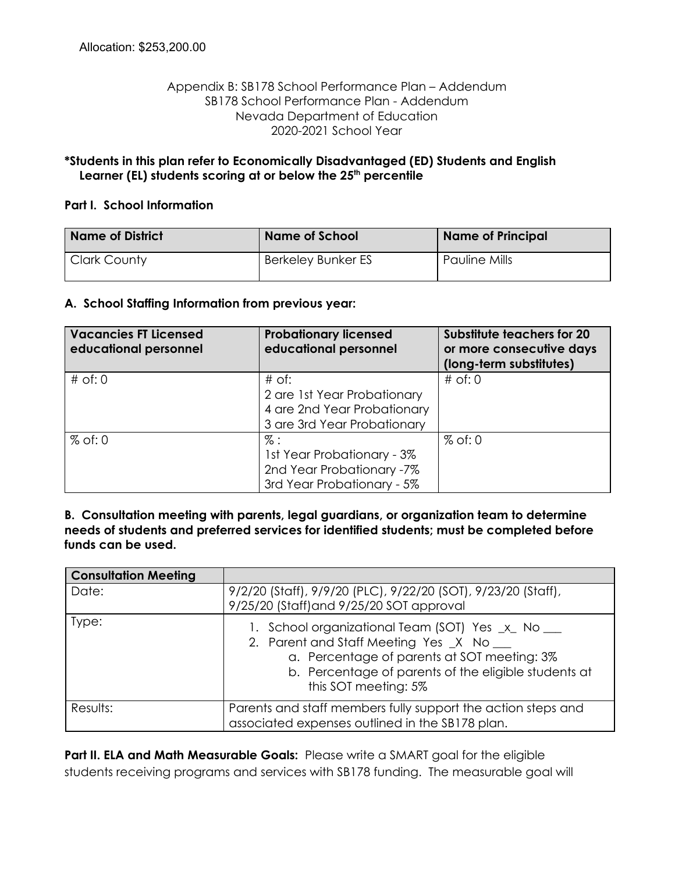### Appendix B: SB178 School Performance Plan – Addendum SB178 School Performance Plan - Addendum Nevada Department of Education 2020-2021 School Year

### **\*Students in this plan refer to Economically Disadvantaged (ED) Students and English Learner (EL) students scoring at or below the 25 th percentile**

#### **Part I. School Information**

| <b>Name of District</b> | <b>Name of School</b> | <b>Name of Principal</b> |
|-------------------------|-----------------------|--------------------------|
| <b>Clark County</b>     | Berkeley Bunker ES    | <b>Pauline Mills</b>     |

#### **A. School Staffing Information from previous year:**

| <b>Vacancies FT Licensed</b><br>educational personnel | <b>Probationary licensed</b><br>educational personnel                                                | <b>Substitute teachers for 20</b><br>or more consecutive days<br>(long-term substitutes) |
|-------------------------------------------------------|------------------------------------------------------------------------------------------------------|------------------------------------------------------------------------------------------|
| $#$ of: 0                                             | $#$ of:<br>2 are 1st Year Probationary<br>4 are 2nd Year Probationary<br>3 are 3rd Year Probationary | $#$ of: 0                                                                                |
| $%$ of: 0                                             | $\%$ :<br>1st Year Probationary - 3%<br>2nd Year Probationary -7%<br>3rd Year Probationary - 5%      | $%$ of: 0                                                                                |

**B. Consultation meeting with parents, legal guardians, or organization team to determine needs of students and preferred services for identified students; must be completed before funds can be used.**

| <b>Consultation Meeting</b> |                                                                                                                                                                                                                              |
|-----------------------------|------------------------------------------------------------------------------------------------------------------------------------------------------------------------------------------------------------------------------|
| Date:                       | 9/2/20 (Staff), 9/9/20 (PLC), 9/22/20 (SOT), 9/23/20 (Staff),<br>9/25/20 (Staff) and 9/25/20 SOT approval                                                                                                                    |
| Type:                       | 1. School organizational Team (SOT) Yes _x_ No __<br>2. Parent and Staff Meeting Yes _X No __<br>a. Percentage of parents at SOT meeting: 3%<br>b. Percentage of parents of the eligible students at<br>this SOT meeting: 5% |
| Results:                    | Parents and staff members fully support the action steps and<br>associated expenses outlined in the SB178 plan.                                                                                                              |

**Part II. ELA and Math Measurable Goals:** Please write a SMART goal for the eligible students receiving programs and services with SB178 funding. The measurable goal will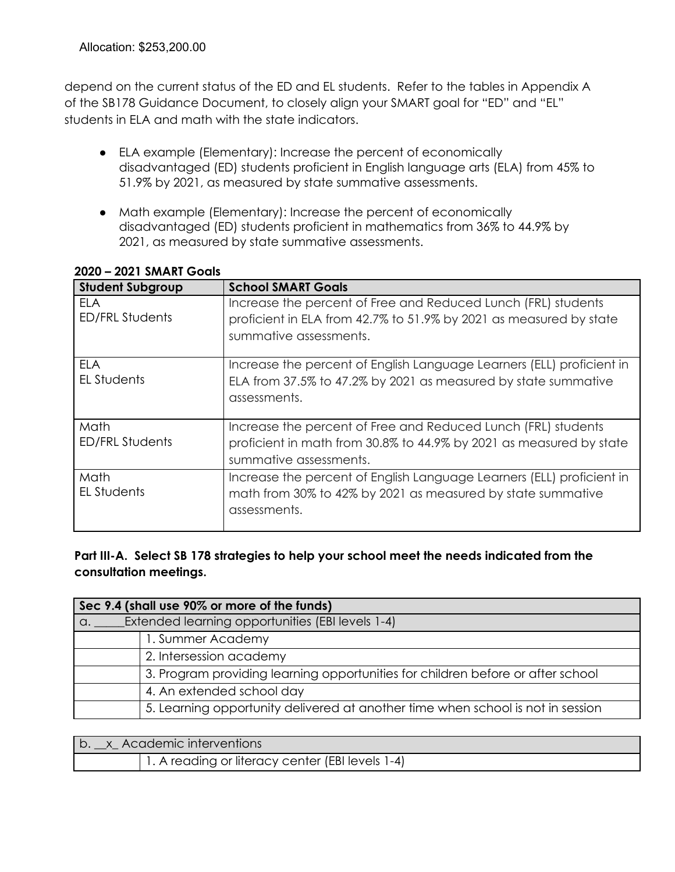depend on the current status of the ED and EL students. Refer to the tables in Appendix A of the SB178 Guidance Document, to closely align your SMART goal for "ED" and "EL" students in ELA and math with the state indicators.

- ELA example (Elementary): Increase the percent of economically disadvantaged (ED) students proficient in English [language](https://docs.google.com/document/d/1TWXXjR7UDIaa1wdYeDc6raD-vrQGV1Vx5EVjmUEavzM/edit#bookmark=id.5ydiw58ngulh) arts (ELA) from 45% to 51.9% by 2021, as measured by state summative assessments.
- Math example (Elementary): Increase the percent of economically disadvantaged (ED) students proficient in mathematics from 36% to 44.9% by 2021, as measured by state summative assessments.

| <b>Student Subgroup</b>        | <b>School SMART Goals</b>                                                                                                                                      |
|--------------------------------|----------------------------------------------------------------------------------------------------------------------------------------------------------------|
| FI A<br><b>ED/FRL Students</b> | Increase the percent of Free and Reduced Lunch (FRL) students<br>proficient in ELA from 42.7% to 51.9% by 2021 as measured by state<br>summative assessments.  |
| ELA<br>EL Students             | Increase the percent of English Language Learners (ELL) proficient in<br>ELA from 37.5% to 47.2% by 2021 as measured by state summative<br>assessments.        |
| Math<br><b>ED/FRL Students</b> | Increase the percent of Free and Reduced Lunch (FRL) students<br>proficient in math from 30.8% to 44.9% by 2021 as measured by state<br>summative assessments. |
| Math<br>EL Students            | Increase the percent of English Language Learners (ELL) proficient in<br>math from 30% to 42% by 2021 as measured by state summative<br>assessments.           |

### **2020 – 2021 SMART Goals**

**Part III-A. Select SB 178 strategies to help your school meet the needs indicated from the consultation meetings.**

|            | Sec 9.4 (shall use 90% or more of the funds)                                    |  |  |  |
|------------|---------------------------------------------------------------------------------|--|--|--|
| $\alpha$ . | <b>Extended learning opportunities (EBI levels 1-4)</b>                         |  |  |  |
|            | 1. Summer Academy                                                               |  |  |  |
|            | 2. Intersession academy                                                         |  |  |  |
|            | 3. Program providing learning opportunities for children before or after school |  |  |  |
|            | 4. An extended school day                                                       |  |  |  |
|            | 5. Learning opportunity delivered at another time when school is not in session |  |  |  |

| b. x Academic interventions                      |  |  |
|--------------------------------------------------|--|--|
| 1. A reading or literacy center (EBI levels 1-4) |  |  |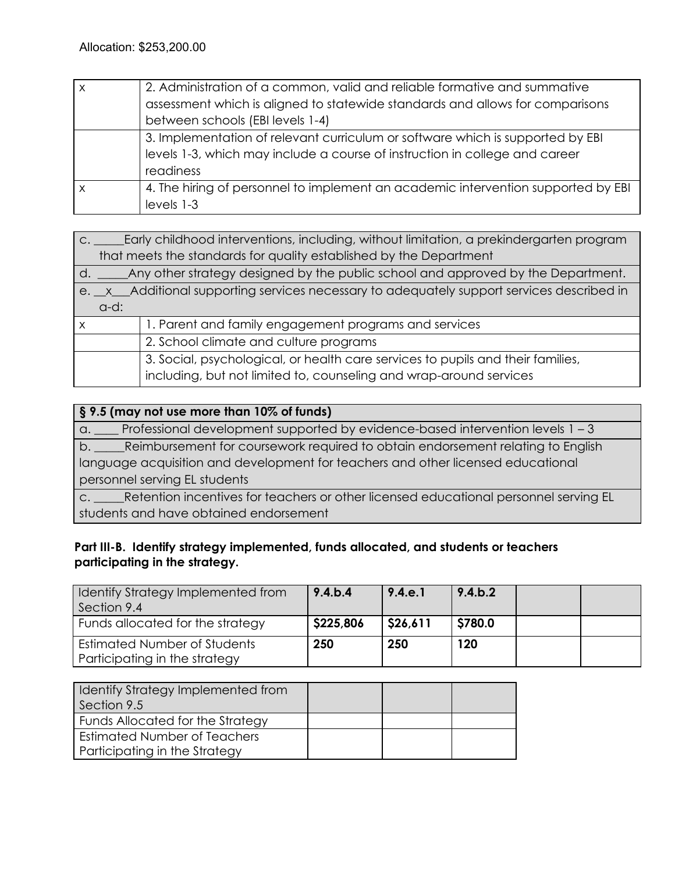| $\times$ | 2. Administration of a common, valid and reliable formative and summative         |
|----------|-----------------------------------------------------------------------------------|
|          | assessment which is aligned to statewide standards and allows for comparisons     |
|          | between schools (EBI levels 1-4)                                                  |
|          | 3. Implementation of relevant curriculum or software which is supported by EBI    |
|          | levels 1-3, which may include a course of instruction in college and career       |
|          | readiness                                                                         |
| X        | 4. The hiring of personnel to implement an academic intervention supported by EBI |
|          | levels 1-3                                                                        |

|         | c. ______Early childhood interventions, including, without limitation, a prekindergarten program |  |  |  |
|---------|--------------------------------------------------------------------------------------------------|--|--|--|
|         | that meets the standards for quality established by the Department                               |  |  |  |
| d.      | Any other strategy designed by the public school and approved by the Department.                 |  |  |  |
|         | e. x Additional supporting services necessary to adequately support services described in        |  |  |  |
| $d-d$ : |                                                                                                  |  |  |  |
| x       | 1. Parent and family engagement programs and services                                            |  |  |  |
|         | 2. School climate and culture programs                                                           |  |  |  |
|         | 3. Social, psychological, or health care services to pupils and their families,                  |  |  |  |
|         | including, but not limited to, counseling and wrap-around services                               |  |  |  |

### **§ 9.5 (may not use more than 10% of funds)**

a. \_\_\_\_ Professional development supported by evidence-based intervention levels 1 – 3 b. \_\_\_\_\_Reimbursement for coursework required to obtain endorsement relating to English language acquisition and development for teachers and other licensed educational personnel serving EL students c. \_\_\_\_\_Retention incentives for teachers or other licensed educational personnel serving EL

students and have obtained endorsement

# **Part III-B. Identify strategy implemented, funds allocated, and students or teachers participating in the strategy.**

| Identify Strategy Implemented from<br>Section 9.4             | 9.4 b.4   | 9.4.e.1  | 9.4 b.2 |  |
|---------------------------------------------------------------|-----------|----------|---------|--|
| Funds allocated for the strategy                              | \$225,806 | \$26,611 | \$780.0 |  |
| Estimated Number of Students<br>Participating in the strategy | 250       | 250      | 120     |  |

| I Identify Strategy Implemented from<br>Section 9.5 |  |  |
|-----------------------------------------------------|--|--|
| Funds Allocated for the Strategy                    |  |  |
| Estimated Number of Teachers                        |  |  |
| Participating in the Strategy                       |  |  |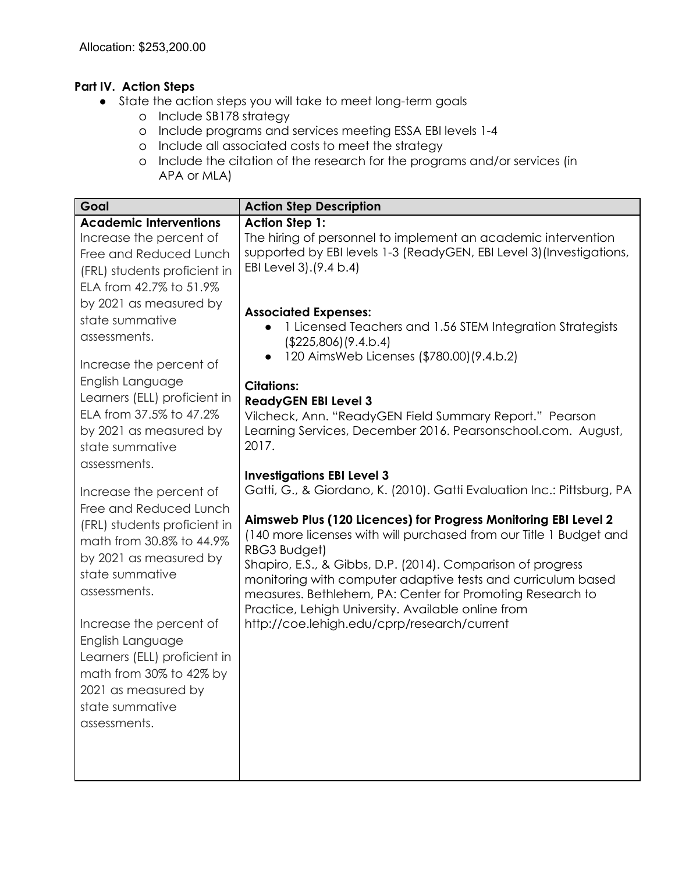# **Part IV. Action Steps**

- State the action steps you will take to meet long-term goals
	- o Include SB178 strategy
	- o Include programs and services meeting ESSA EBI levels 1-4
	- o Include all associated costs to meet the strategy
	- o Include the citation of the research for the programs and/or services (in APA or MLA)

| Goal                                                                                                                                                                             | <b>Action Step Description</b>                                                                                                                                                                                                                                                                                                                                                                      |
|----------------------------------------------------------------------------------------------------------------------------------------------------------------------------------|-----------------------------------------------------------------------------------------------------------------------------------------------------------------------------------------------------------------------------------------------------------------------------------------------------------------------------------------------------------------------------------------------------|
| <b>Academic Interventions</b><br>Increase the percent of<br>Free and Reduced Lunch<br>(FRL) students proficient in<br>ELA from 42.7% to 51.9%                                    | <b>Action Step 1:</b><br>The hiring of personnel to implement an academic intervention<br>supported by EBI levels 1-3 (ReadyGEN, EBI Level 3) (Investigations,<br>EBI Level 3). (9.4 b.4)                                                                                                                                                                                                           |
| by 2021 as measured by<br>state summative<br>assessments.<br>Increase the percent of                                                                                             | <b>Associated Expenses:</b><br>1 Licensed Teachers and 1.56 STEM Integration Strategists<br>(\$225,806)(9.4.b.4)<br>120 AimsWeb Licenses (\$780.00) (9.4.b.2)<br>$\bullet$                                                                                                                                                                                                                          |
| English Language<br>Learners (ELL) proficient in<br>ELA from 37.5% to 47.2%<br>by 2021 as measured by<br>state summative<br>assessments.                                         | <b>Citations:</b><br><b>ReadyGEN EBI Level 3</b><br>Vilcheck, Ann. "ReadyGEN Field Summary Report." Pearson<br>Learning Services, December 2016. Pearsonschool.com. August,<br>2017.                                                                                                                                                                                                                |
| Increase the percent of<br>Free and Reduced Lunch<br>(FRL) students proficient in<br>math from 30.8% to 44.9%<br>by 2021 as measured by<br>state summative                       | <b>Investigations EBI Level 3</b><br>Gatti, G., & Giordano, K. (2010). Gatti Evaluation Inc.: Pittsburg, PA<br>Aimsweb Plus (120 Licences) for Progress Monitoring EBI Level 2<br>(140 more licenses with will purchased from our Title 1 Budget and<br>RBG3 Budget)<br>Shapiro, E.S., & Gibbs, D.P. (2014). Comparison of progress<br>monitoring with computer adaptive tests and curriculum based |
| assessments.<br>Increase the percent of<br>English Language<br>Learners (ELL) proficient in<br>math from 30% to 42% by<br>2021 as measured by<br>state summative<br>assessments. | measures. Bethlehem, PA: Center for Promoting Research to<br>Practice, Lehigh University. Available online from<br>http://coe.lehigh.edu/cprp/research/current                                                                                                                                                                                                                                      |
|                                                                                                                                                                                  |                                                                                                                                                                                                                                                                                                                                                                                                     |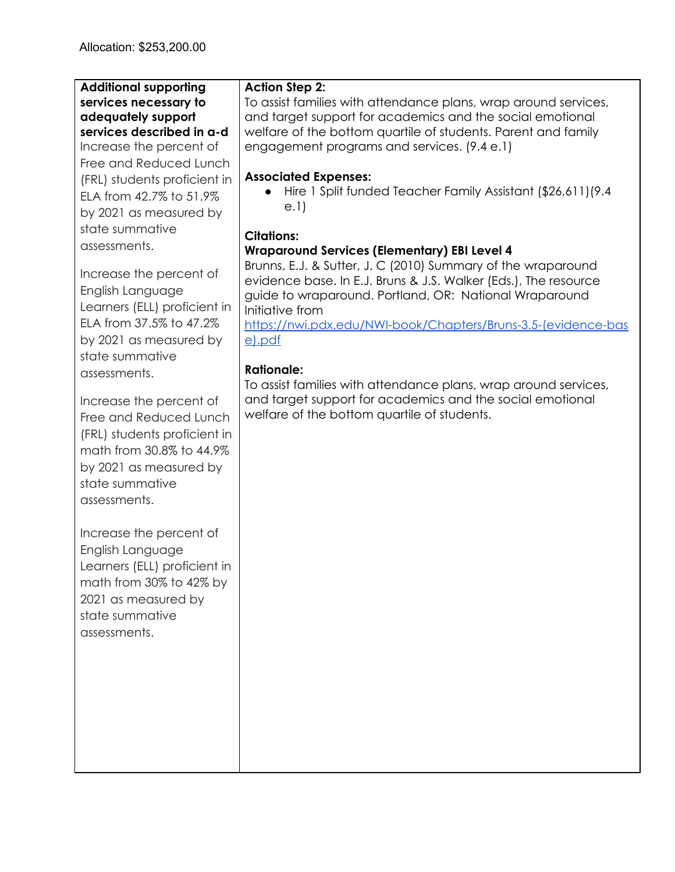| <b>Additional supporting</b><br>services necessary to<br>adequately support<br>services described in a-d<br>Increase the percent of<br>Free and Reduced Lunch<br>(FRL) students proficient in<br>ELA from 42.7% to 51.9%<br>by 2021 as measured by                                                                                                                                                                                                                                                                    | <b>Action Step 2:</b><br>To assist families with attendance plans, wrap around services,<br>and target support for academics and the social emotional<br>welfare of the bottom quartile of students. Parent and family<br>engagement programs and services. (9.4 e.1)<br><b>Associated Expenses:</b><br>Hire 1 Split funded Teacher Family Assistant (\$26,611)(9.4<br>e.1)                                                                                                                                                                                             |
|-----------------------------------------------------------------------------------------------------------------------------------------------------------------------------------------------------------------------------------------------------------------------------------------------------------------------------------------------------------------------------------------------------------------------------------------------------------------------------------------------------------------------|-------------------------------------------------------------------------------------------------------------------------------------------------------------------------------------------------------------------------------------------------------------------------------------------------------------------------------------------------------------------------------------------------------------------------------------------------------------------------------------------------------------------------------------------------------------------------|
| state summative<br>assessments.<br>Increase the percent of<br>English Language<br>Learners (ELL) proficient in<br>ELA from 37.5% to 47.2%<br>by 2021 as measured by<br>state summative<br>assessments.<br>Increase the percent of<br>Free and Reduced Lunch<br>(FRL) students proficient in<br>math from 30.8% to 44.9%<br>by 2021 as measured by<br>state summative<br>assessments.<br>Increase the percent of<br>English Language<br>Learners (ELL) proficient in<br>math from 30% to 42% by<br>2021 as measured by | <b>Citations:</b><br><b>Wraparound Services (Elementary) EBI Level 4</b><br>Brunns, E.J. & Sutter, J. C (2010) Summary of the wraparound<br>evidence base. In E.J. Bruns & J.S. Walker (Eds.), The resource<br>guide to wraparound. Portland, OR: National Wraparound<br>Initiative from<br>https://nwi.pdx.edu/NWI-book/Chapters/Bruns-3.5-(evidence-bas<br>e).pdf<br><b>Rationale:</b><br>To assist families with attendance plans, wrap around services,<br>and target support for academics and the social emotional<br>welfare of the bottom quartile of students. |
| state summative<br>assessments.                                                                                                                                                                                                                                                                                                                                                                                                                                                                                       |                                                                                                                                                                                                                                                                                                                                                                                                                                                                                                                                                                         |

<u> 1980 - Johann Stoff, deutscher Stoffen und der Stoffen und der Stoffen und der Stoffen und der Stoffen und de</u>